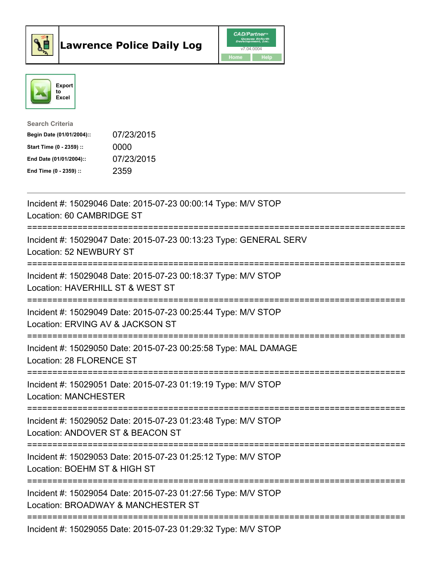



| <b>Search Criteria</b>    |            |
|---------------------------|------------|
| Begin Date (01/01/2004):: | 07/23/2015 |
| Start Time (0 - 2359) ::  | 0000       |
| End Date (01/01/2004)::   | 07/23/2015 |
| End Time $(0 - 2359)$ :   | 2359       |

| Incident #: 15029046 Date: 2015-07-23 00:00:14 Type: M/V STOP<br>Location: 60 CAMBRIDGE ST<br>=============                      |
|----------------------------------------------------------------------------------------------------------------------------------|
| Incident #: 15029047 Date: 2015-07-23 00:13:23 Type: GENERAL SERV<br>Location: 52 NEWBURY ST<br>==================<br>========== |
| Incident #: 15029048 Date: 2015-07-23 00:18:37 Type: M/V STOP<br>Location: HAVERHILL ST & WEST ST<br>:=========================  |
| Incident #: 15029049 Date: 2015-07-23 00:25:44 Type: M/V STOP<br>Location: ERVING AV & JACKSON ST<br>:====================       |
| Incident #: 15029050 Date: 2015-07-23 00:25:58 Type: MAL DAMAGE<br>Location: 28 FLORENCE ST                                      |
| Incident #: 15029051 Date: 2015-07-23 01:19:19 Type: M/V STOP<br><b>Location: MANCHESTER</b><br>-------------                    |
| Incident #: 15029052 Date: 2015-07-23 01:23:48 Type: M/V STOP<br>Location: ANDOVER ST & BEACON ST                                |
| Incident #: 15029053 Date: 2015-07-23 01:25:12 Type: M/V STOP<br>Location: BOEHM ST & HIGH ST                                    |
| Incident #: 15029054 Date: 2015-07-23 01:27:56 Type: M/V STOP<br>Location: BROADWAY & MANCHESTER ST                              |
| Incident #: 15029055 Date: 2015-07-23 01:29:32 Type: M/V STOP                                                                    |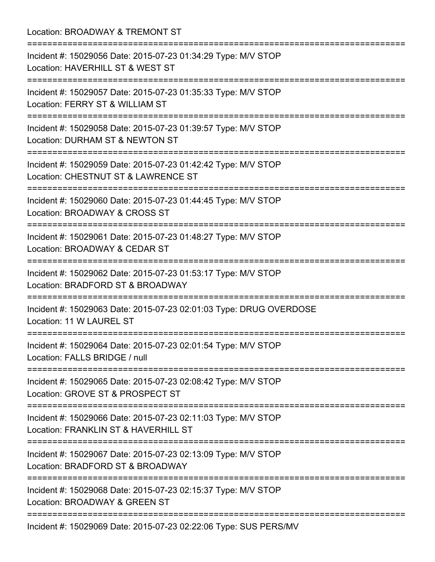| Location: BROADWAY & TREMONT ST<br>===========================                                                                          |
|-----------------------------------------------------------------------------------------------------------------------------------------|
| Incident #: 15029056 Date: 2015-07-23 01:34:29 Type: M/V STOP<br>Location: HAVERHILL ST & WEST ST                                       |
| Incident #: 15029057 Date: 2015-07-23 01:35:33 Type: M/V STOP<br>Location: FERRY ST & WILLIAM ST                                        |
| Incident #: 15029058 Date: 2015-07-23 01:39:57 Type: M/V STOP<br>Location: DURHAM ST & NEWTON ST                                        |
| ===============================<br>Incident #: 15029059 Date: 2015-07-23 01:42:42 Type: M/V STOP<br>Location: CHESTNUT ST & LAWRENCE ST |
| Incident #: 15029060 Date: 2015-07-23 01:44:45 Type: M/V STOP<br>Location: BROADWAY & CROSS ST                                          |
| Incident #: 15029061 Date: 2015-07-23 01:48:27 Type: M/V STOP<br>Location: BROADWAY & CEDAR ST                                          |
| Incident #: 15029062 Date: 2015-07-23 01:53:17 Type: M/V STOP<br>Location: BRADFORD ST & BROADWAY                                       |
| ========================<br>Incident #: 15029063 Date: 2015-07-23 02:01:03 Type: DRUG OVERDOSE<br>Location: 11 W LAUREL ST              |
| Incident #: 15029064 Date: 2015-07-23 02:01:54 Type: M/V STOP<br>Location: FALLS BRIDGE / null                                          |
| Incident #: 15029065 Date: 2015-07-23 02:08:42 Type: M/V STOP<br>Location: GROVE ST & PROSPECT ST                                       |
| Incident #: 15029066 Date: 2015-07-23 02:11:03 Type: M/V STOP<br>Location: FRANKLIN ST & HAVERHILL ST                                   |
| Incident #: 15029067 Date: 2015-07-23 02:13:09 Type: M/V STOP<br>Location: BRADFORD ST & BROADWAY                                       |
| Incident #: 15029068 Date: 2015-07-23 02:15:37 Type: M/V STOP<br>Location: BROADWAY & GREEN ST                                          |
| Incident #: 15029069 Date: 2015-07-23 02:22:06 Type: SUS PERS/MV                                                                        |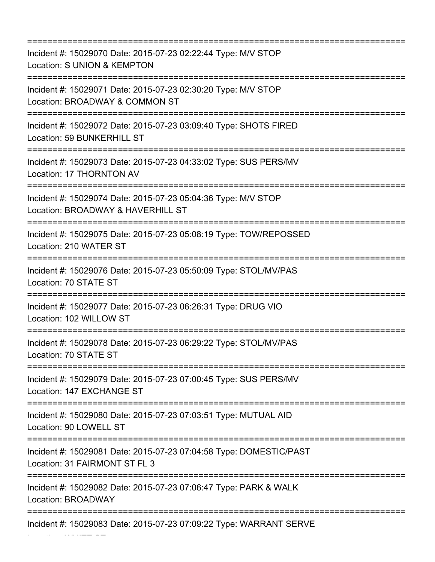=========================================================================== Incident #: 15029070 Date: 2015-07-23 02:22:44 Type: M/V STOP Location: S UNION & KEMPTON =========================================================================== Incident #: 15029071 Date: 2015-07-23 02:30:20 Type: M/V STOP Location: BROADWAY & COMMON ST =========================================================================== Incident #: 15029072 Date: 2015-07-23 03:09:40 Type: SHOTS FIRED Location: 59 BUNKERHILL ST =========================================================================== Incident #: 15029073 Date: 2015-07-23 04:33:02 Type: SUS PERS/MV Location: 17 THORNTON AV =========================================================================== Incident #: 15029074 Date: 2015-07-23 05:04:36 Type: M/V STOP Location: BROADWAY & HAVERHILL ST =========================================================================== Incident #: 15029075 Date: 2015-07-23 05:08:19 Type: TOW/REPOSSED Location: 210 WATER ST =========================================================================== Incident #: 15029076 Date: 2015-07-23 05:50:09 Type: STOL/MV/PAS Location: 70 STATE ST =========================================================================== Incident #: 15029077 Date: 2015-07-23 06:26:31 Type: DRUG VIO Location: 102 WILLOW ST =========================================================================== Incident #: 15029078 Date: 2015-07-23 06:29:22 Type: STOL/MV/PAS Location: 70 STATE ST =========================================================================== Incident #: 15029079 Date: 2015-07-23 07:00:45 Type: SUS PERS/MV Location: 147 EXCHANGE ST =========================================================================== Incident #: 15029080 Date: 2015-07-23 07:03:51 Type: MUTUAL AID Location: 90 LOWELL ST =========================================================================== Incident #: 15029081 Date: 2015-07-23 07:04:58 Type: DOMESTIC/PAST Location: 31 FAIRMONT ST FL 3 =========================================================================== Incident #: 15029082 Date: 2015-07-23 07:06:47 Type: PARK & WALK Location: BROADWAY =========================================================================== Incident #: 15029083 Date: 2015-07-23 07:09:22 Type: WARRANT SERVE

Location: WHITE ST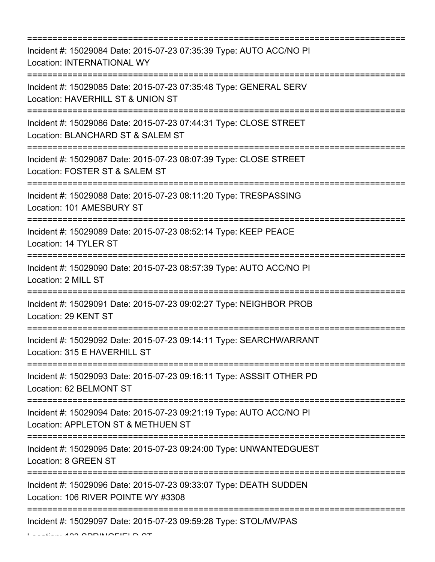=========================================================================== Incident #: 15029084 Date: 2015-07-23 07:35:39 Type: AUTO ACC/NO PI Location: INTERNATIONAL WY =========================================================================== Incident #: 15029085 Date: 2015-07-23 07:35:48 Type: GENERAL SERV Location: HAVERHILL ST & UNION ST =========================================================================== Incident #: 15029086 Date: 2015-07-23 07:44:31 Type: CLOSE STREET Location: BLANCHARD ST & SALEM ST =========================================================================== Incident #: 15029087 Date: 2015-07-23 08:07:39 Type: CLOSE STREET Location: FOSTER ST & SALEM ST =========================================================================== Incident #: 15029088 Date: 2015-07-23 08:11:20 Type: TRESPASSING Location: 101 AMESBURY ST =========================================================================== Incident #: 15029089 Date: 2015-07-23 08:52:14 Type: KEEP PEACE Location: 14 TYLER ST =========================================================================== Incident #: 15029090 Date: 2015-07-23 08:57:39 Type: AUTO ACC/NO PI Location: 2 MILL ST =========================================================================== Incident #: 15029091 Date: 2015-07-23 09:02:27 Type: NEIGHBOR PROB Location: 29 KENT ST =========================================================================== Incident #: 15029092 Date: 2015-07-23 09:14:11 Type: SEARCHWARRANT Location: 315 E HAVERHILL ST =========================================================================== Incident #: 15029093 Date: 2015-07-23 09:16:11 Type: ASSSIT OTHER PD Location: 62 BELMONT ST =========================================================================== Incident #: 15029094 Date: 2015-07-23 09:21:19 Type: AUTO ACC/NO PI Location: APPLETON ST & METHUEN ST =========================================================================== Incident #: 15029095 Date: 2015-07-23 09:24:00 Type: UNWANTEDGUEST Location: 8 GREEN ST =========================================================================== Incident #: 15029096 Date: 2015-07-23 09:33:07 Type: DEATH SUDDEN Location: 106 RIVER POINTE WY #3308 =========================================================================== Incident #: 15029097 Date: 2015-07-23 09:59:28 Type: STOL/MV/PAS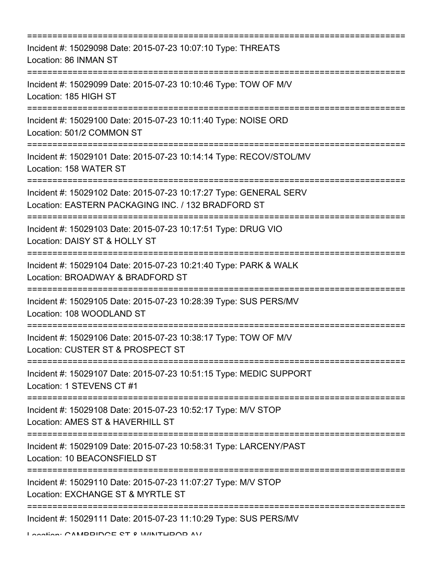| -------------------------                                                                                                                                 |
|-----------------------------------------------------------------------------------------------------------------------------------------------------------|
| Incident #: 15029098 Date: 2015-07-23 10:07:10 Type: THREATS<br>Location: 86 INMAN ST                                                                     |
| Incident #: 15029099 Date: 2015-07-23 10:10:46 Type: TOW OF M/V<br>Location: 185 HIGH ST                                                                  |
| Incident #: 15029100 Date: 2015-07-23 10:11:40 Type: NOISE ORD<br>Location: 501/2 COMMON ST                                                               |
| Incident #: 15029101 Date: 2015-07-23 10:14:14 Type: RECOV/STOL/MV<br>Location: 158 WATER ST                                                              |
| Incident #: 15029102 Date: 2015-07-23 10:17:27 Type: GENERAL SERV<br>Location: EASTERN PACKAGING INC. / 132 BRADFORD ST<br>============================== |
| Incident #: 15029103 Date: 2015-07-23 10:17:51 Type: DRUG VIO<br>Location: DAISY ST & HOLLY ST                                                            |
| Incident #: 15029104 Date: 2015-07-23 10:21:40 Type: PARK & WALK<br>Location: BROADWAY & BRADFORD ST                                                      |
| Incident #: 15029105 Date: 2015-07-23 10:28:39 Type: SUS PERS/MV<br>Location: 108 WOODLAND ST                                                             |
| Incident #: 15029106 Date: 2015-07-23 10:38:17 Type: TOW OF M/V<br>Location: CUSTER ST & PROSPECT ST                                                      |
| Incident #: 15029107 Date: 2015-07-23 10:51:15 Type: MEDIC SUPPORT<br>Location: 1 STEVENS CT #1                                                           |
| Incident #: 15029108 Date: 2015-07-23 10:52:17 Type: M/V STOP<br>Location: AMES ST & HAVERHILL ST                                                         |
| Incident #: 15029109 Date: 2015-07-23 10:58:31 Type: LARCENY/PAST<br>Location: 10 BEACONSFIELD ST                                                         |
| Incident #: 15029110 Date: 2015-07-23 11:07:27 Type: M/V STOP<br>Location: EXCHANGE ST & MYRTLE ST                                                        |
| Incident #: 15029111 Date: 2015-07-23 11:10:29 Type: SUS PERS/MV                                                                                          |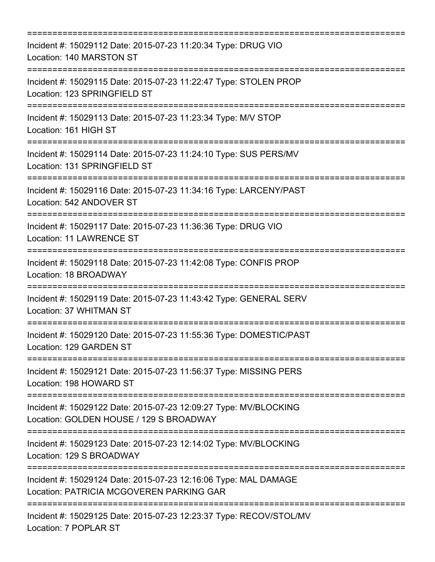| Incident #: 15029112 Date: 2015-07-23 11:20:34 Type: DRUG VIO<br>Location: 140 MARSTON ST                                     |
|-------------------------------------------------------------------------------------------------------------------------------|
| Incident #: 15029115 Date: 2015-07-23 11:22:47 Type: STOLEN PROP<br>Location: 123 SPRINGFIELD ST                              |
| Incident #: 15029113 Date: 2015-07-23 11:23:34 Type: M/V STOP<br>Location: 161 HIGH ST                                        |
| =========================<br>Incident #: 15029114 Date: 2015-07-23 11:24:10 Type: SUS PERS/MV<br>Location: 131 SPRINGFIELD ST |
| Incident #: 15029116 Date: 2015-07-23 11:34:16 Type: LARCENY/PAST<br>Location: 542 ANDOVER ST                                 |
| Incident #: 15029117 Date: 2015-07-23 11:36:36 Type: DRUG VIO<br><b>Location: 11 LAWRENCE ST</b>                              |
| Incident #: 15029118 Date: 2015-07-23 11:42:08 Type: CONFIS PROP<br>Location: 18 BROADWAY                                     |
| Incident #: 15029119 Date: 2015-07-23 11:43:42 Type: GENERAL SERV<br>Location: 37 WHITMAN ST                                  |
| Incident #: 15029120 Date: 2015-07-23 11:55:36 Type: DOMESTIC/PAST<br>Location: 129 GARDEN ST                                 |
| Incident #: 15029121 Date: 2015-07-23 11:56:37 Type: MISSING PERS<br>Location: 198 HOWARD ST                                  |
| Incident #: 15029122 Date: 2015-07-23 12:09:27 Type: MV/BLOCKING<br>Location: GOLDEN HOUSE / 129 S BROADWAY                   |
| Incident #: 15029123 Date: 2015-07-23 12:14:02 Type: MV/BLOCKING<br>Location: 129 S BROADWAY                                  |
| Incident #: 15029124 Date: 2015-07-23 12:16:06 Type: MAL DAMAGE<br>Location: PATRICIA MCGOVEREN PARKING GAR                   |
| Incident #: 15029125 Date: 2015-07-23 12:23:37 Type: RECOV/STOL/MV<br>Location: 7 POPLAR ST                                   |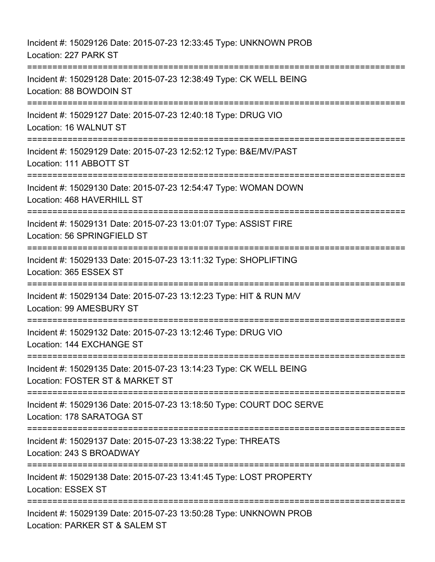| Incident #: 15029126 Date: 2015-07-23 12:33:45 Type: UNKNOWN PROB<br>Location: 227 PARK ST                                        |
|-----------------------------------------------------------------------------------------------------------------------------------|
| Incident #: 15029128 Date: 2015-07-23 12:38:49 Type: CK WELL BEING<br>Location: 88 BOWDOIN ST                                     |
| Incident #: 15029127 Date: 2015-07-23 12:40:18 Type: DRUG VIO<br>Location: 16 WALNUT ST                                           |
| Incident #: 15029129 Date: 2015-07-23 12:52:12 Type: B&E/MV/PAST<br>Location: 111 ABBOTT ST<br>================================== |
| Incident #: 15029130 Date: 2015-07-23 12:54:47 Type: WOMAN DOWN<br>Location: 468 HAVERHILL ST<br>=================                |
| Incident #: 15029131 Date: 2015-07-23 13:01:07 Type: ASSIST FIRE<br>Location: 56 SPRINGFIELD ST                                   |
| Incident #: 15029133 Date: 2015-07-23 13:11:32 Type: SHOPLIFTING<br>Location: 365 ESSEX ST                                        |
| Incident #: 15029134 Date: 2015-07-23 13:12:23 Type: HIT & RUN M/V<br>Location: 99 AMESBURY ST<br>======================          |
| Incident #: 15029132 Date: 2015-07-23 13:12:46 Type: DRUG VIO<br>Location: 144 EXCHANGE ST                                        |
| Incident #: 15029135 Date: 2015-07-23 13:14:23 Type: CK WELL BEING<br>Location: FOSTER ST & MARKET ST                             |
| Incident #: 15029136 Date: 2015-07-23 13:18:50 Type: COURT DOC SERVE<br>Location: 178 SARATOGA ST                                 |
| Incident #: 15029137 Date: 2015-07-23 13:38:22 Type: THREATS<br>Location: 243 S BROADWAY                                          |
| Incident #: 15029138 Date: 2015-07-23 13:41:45 Type: LOST PROPERTY<br>Location: ESSEX ST                                          |
| Incident #: 15029139 Date: 2015-07-23 13:50:28 Type: UNKNOWN PROB<br>Location: PARKER ST & SALEM ST                               |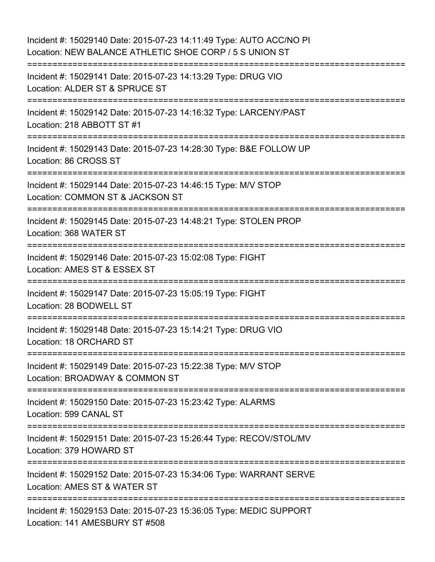Incident #: 15029140 Date: 2015-07-23 14:11:49 Type: AUTO ACC/NO PI Location: NEW BALANCE ATHLETIC SHOE CORP / 5 S UNION ST =========================================================================== Incident #: 15029141 Date: 2015-07-23 14:13:29 Type: DRUG VIO Location: ALDER ST & SPRUCE ST =========================================================================== Incident #: 15029142 Date: 2015-07-23 14:16:32 Type: LARCENY/PAST Location: 218 ABBOTT ST #1 =========================================================================== Incident #: 15029143 Date: 2015-07-23 14:28:30 Type: B&E FOLLOW UP Location: 86 CROSS ST =========================================================================== Incident #: 15029144 Date: 2015-07-23 14:46:15 Type: M/V STOP Location: COMMON ST & JACKSON ST =========================================================================== Incident #: 15029145 Date: 2015-07-23 14:48:21 Type: STOLEN PROP Location: 368 WATER ST =========================================================================== Incident #: 15029146 Date: 2015-07-23 15:02:08 Type: FIGHT Location: AMES ST & ESSEX ST =========================================================================== Incident #: 15029147 Date: 2015-07-23 15:05:19 Type: FIGHT Location: 28 BODWELL ST ======================= Incident #: 15029148 Date: 2015-07-23 15:14:21 Type: DRUG VIO Location: 18 ORCHARD ST =========================================================================== Incident #: 15029149 Date: 2015-07-23 15:22:38 Type: M/V STOP Location: BROADWAY & COMMON ST =========================================================================== Incident #: 15029150 Date: 2015-07-23 15:23:42 Type: ALARMS Location: 599 CANAL ST =========================================================================== Incident #: 15029151 Date: 2015-07-23 15:26:44 Type: RECOV/STOL/MV Location: 379 HOWARD ST =========================================================================== Incident #: 15029152 Date: 2015-07-23 15:34:06 Type: WARRANT SERVE Location: AMES ST & WATER ST =========================================================================== Incident #: 15029153 Date: 2015-07-23 15:36:05 Type: MEDIC SUPPORT Location: 141 AMESBURY ST #508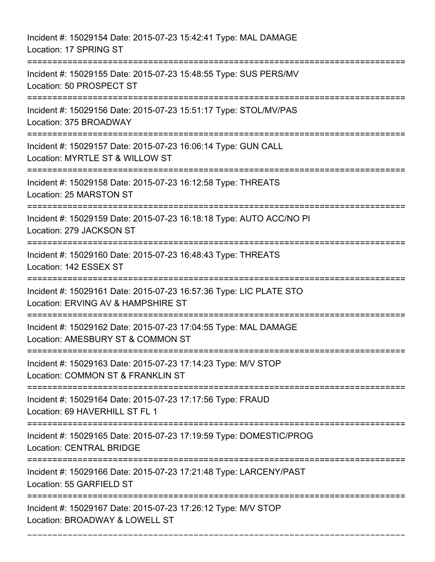Incident #: 15029154 Date: 2015-07-23 15:42:41 Type: MAL DAMAGE Location: 17 SPRING ST =========================================================================== Incident #: 15029155 Date: 2015-07-23 15:48:55 Type: SUS PERS/MV Location: 50 PROSPECT ST =========================================================================== Incident #: 15029156 Date: 2015-07-23 15:51:17 Type: STOL/MV/PAS Location: 375 BROADWAY =========================================================================== Incident #: 15029157 Date: 2015-07-23 16:06:14 Type: GUN CALL Location: MYRTLE ST & WILLOW ST =========================================================================== Incident #: 15029158 Date: 2015-07-23 16:12:58 Type: THREATS Location: 25 MARSTON ST =========================================================================== Incident #: 15029159 Date: 2015-07-23 16:18:18 Type: AUTO ACC/NO PI Location: 279 JACKSON ST =========================================================================== Incident #: 15029160 Date: 2015-07-23 16:48:43 Type: THREATS Location: 142 ESSEX ST =========================================================================== Incident #: 15029161 Date: 2015-07-23 16:57:36 Type: LIC PLATE STO Location: ERVING AV & HAMPSHIRE ST =========================================================================== Incident #: 15029162 Date: 2015-07-23 17:04:55 Type: MAL DAMAGE Location: AMESBURY ST & COMMON ST =========================================================================== Incident #: 15029163 Date: 2015-07-23 17:14:23 Type: M/V STOP Location: COMMON ST & FRANKLIN ST =========================================================================== Incident #: 15029164 Date: 2015-07-23 17:17:56 Type: FRAUD Location: 69 HAVERHILL ST FL 1 =========================================================================== Incident #: 15029165 Date: 2015-07-23 17:19:59 Type: DOMESTIC/PROG Location: CENTRAL BRIDGE =========================================================================== Incident #: 15029166 Date: 2015-07-23 17:21:48 Type: LARCENY/PAST Location: 55 GARFIELD ST =========================================================================== Incident #: 15029167 Date: 2015-07-23 17:26:12 Type: M/V STOP Location: BROADWAY & LOWELL ST

===========================================================================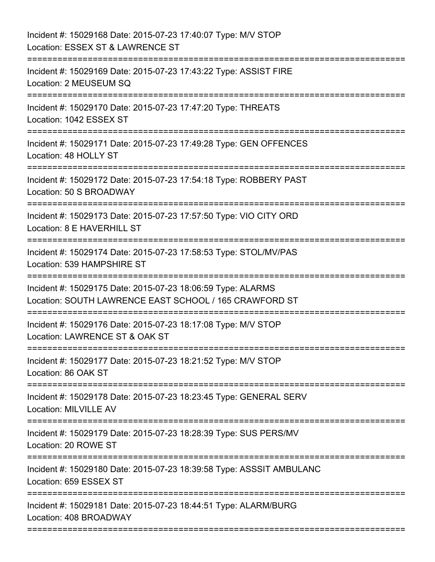| Incident #: 15029168 Date: 2015-07-23 17:40:07 Type: M/V STOP<br>Location: ESSEX ST & LAWRENCE ST                     |
|-----------------------------------------------------------------------------------------------------------------------|
| Incident #: 15029169 Date: 2015-07-23 17:43:22 Type: ASSIST FIRE<br>Location: 2 MEUSEUM SQ                            |
| Incident #: 15029170 Date: 2015-07-23 17:47:20 Type: THREATS<br>Location: 1042 ESSEX ST                               |
| Incident #: 15029171 Date: 2015-07-23 17:49:28 Type: GEN OFFENCES<br>Location: 48 HOLLY ST                            |
| Incident #: 15029172 Date: 2015-07-23 17:54:18 Type: ROBBERY PAST<br>Location: 50 S BROADWAY                          |
| Incident #: 15029173 Date: 2015-07-23 17:57:50 Type: VIO CITY ORD<br>Location: 8 E HAVERHILL ST                       |
| Incident #: 15029174 Date: 2015-07-23 17:58:53 Type: STOL/MV/PAS<br>Location: 539 HAMPSHIRE ST                        |
| Incident #: 15029175 Date: 2015-07-23 18:06:59 Type: ALARMS<br>Location: SOUTH LAWRENCE EAST SCHOOL / 165 CRAWFORD ST |
| Incident #: 15029176 Date: 2015-07-23 18:17:08 Type: M/V STOP<br>Location: LAWRENCE ST & OAK ST                       |
| Incident #: 15029177 Date: 2015-07-23 18:21:52 Type: M/V STOP<br>Location: 86 OAK ST                                  |
| Incident #: 15029178 Date: 2015-07-23 18:23:45 Type: GENERAL SERV<br><b>Location: MILVILLE AV</b>                     |
| Incident #: 15029179 Date: 2015-07-23 18:28:39 Type: SUS PERS/MV<br>Location: 20 ROWE ST                              |
| Incident #: 15029180 Date: 2015-07-23 18:39:58 Type: ASSSIT AMBULANC<br>Location: 659 ESSEX ST                        |
| Incident #: 15029181 Date: 2015-07-23 18:44:51 Type: ALARM/BURG<br>Location: 408 BROADWAY                             |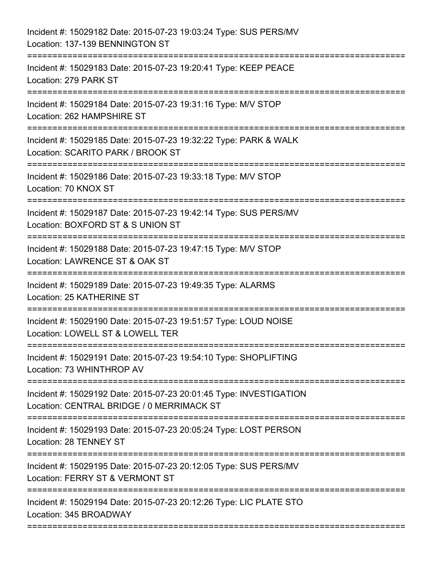| Incident #: 15029182 Date: 2015-07-23 19:03:24 Type: SUS PERS/MV<br>Location: 137-139 BENNINGTON ST                             |
|---------------------------------------------------------------------------------------------------------------------------------|
| Incident #: 15029183 Date: 2015-07-23 19:20:41 Type: KEEP PEACE<br>Location: 279 PARK ST                                        |
| Incident #: 15029184 Date: 2015-07-23 19:31:16 Type: M/V STOP<br>Location: 262 HAMPSHIRE ST                                     |
| Incident #: 15029185 Date: 2015-07-23 19:32:22 Type: PARK & WALK<br>Location: SCARITO PARK / BROOK ST                           |
| Incident #: 15029186 Date: 2015-07-23 19:33:18 Type: M/V STOP<br>Location: 70 KNOX ST                                           |
| Incident #: 15029187 Date: 2015-07-23 19:42:14 Type: SUS PERS/MV<br>Location: BOXFORD ST & S UNION ST<br>;===================== |
| Incident #: 15029188 Date: 2015-07-23 19:47:15 Type: M/V STOP<br>Location: LAWRENCE ST & OAK ST                                 |
| Incident #: 15029189 Date: 2015-07-23 19:49:35 Type: ALARMS<br>Location: 25 KATHERINE ST<br>:==========                         |
| Incident #: 15029190 Date: 2015-07-23 19:51:57 Type: LOUD NOISE<br>Location: LOWELL ST & LOWELL TER                             |
| Incident #: 15029191 Date: 2015-07-23 19:54:10 Type: SHOPLIFTING<br>Location: 73 WHINTHROP AV                                   |
| Incident #: 15029192 Date: 2015-07-23 20:01:45 Type: INVESTIGATION<br>Location: CENTRAL BRIDGE / 0 MERRIMACK ST                 |
| Incident #: 15029193 Date: 2015-07-23 20:05:24 Type: LOST PERSON<br>Location: 28 TENNEY ST                                      |
| Incident #: 15029195 Date: 2015-07-23 20:12:05 Type: SUS PERS/MV<br>Location: FERRY ST & VERMONT ST                             |
| Incident #: 15029194 Date: 2015-07-23 20:12:26 Type: LIC PLATE STO<br>Location: 345 BROADWAY                                    |
|                                                                                                                                 |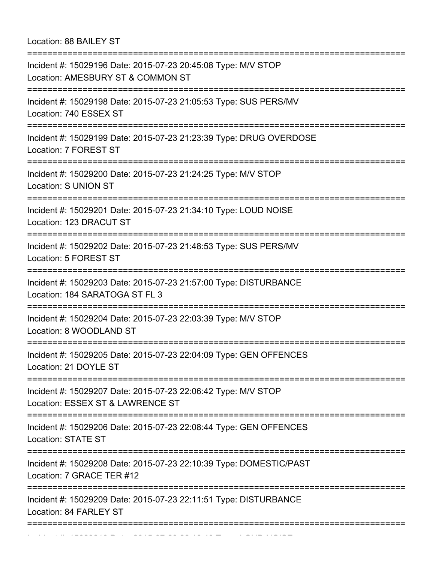Location: 88 BAILEY ST

| Location: AMESBURY ST & COMMON ST<br>Incident #: 15029198 Date: 2015-07-23 21:05:53 Type: SUS PERS/MV          |
|----------------------------------------------------------------------------------------------------------------|
| Location: 740 ESSEX ST<br>===================                                                                  |
| Incident #: 15029199 Date: 2015-07-23 21:23:39 Type: DRUG OVERDOSE<br>Location: 7 FOREST ST                    |
| Incident #: 15029200 Date: 2015-07-23 21:24:25 Type: M/V STOP<br>Location: S UNION ST                          |
| Incident #: 15029201 Date: 2015-07-23 21:34:10 Type: LOUD NOISE<br>Location: 123 DRACUT ST<br>:=============== |
| Incident #: 15029202 Date: 2015-07-23 21:48:53 Type: SUS PERS/MV<br>Location: 5 FOREST ST                      |
| Incident #: 15029203 Date: 2015-07-23 21:57:00 Type: DISTURBANCE<br>Location: 184 SARATOGA ST FL 3             |
| Incident #: 15029204 Date: 2015-07-23 22:03:39 Type: M/V STOP<br>Location: 8 WOODLAND ST                       |
| Incident #: 15029205 Date: 2015-07-23 22:04:09 Type: GEN OFFENCES<br>Location: 21 DOYLE ST                     |
| Incident #: 15029207 Date: 2015-07-23 22:06:42 Type: M/V STOP<br>Location: ESSEX ST & LAWRENCE ST              |
| Incident #: 15029206 Date: 2015-07-23 22:08:44 Type: GEN OFFENCES<br><b>Location: STATE ST</b>                 |
| Incident #: 15029208 Date: 2015-07-23 22:10:39 Type: DOMESTIC/PAST<br>Location: 7 GRACE TER #12                |
| Incident #: 15029209 Date: 2015-07-23 22:11:51 Type: DISTURBANCE<br>Location: 84 FARLEY ST                     |